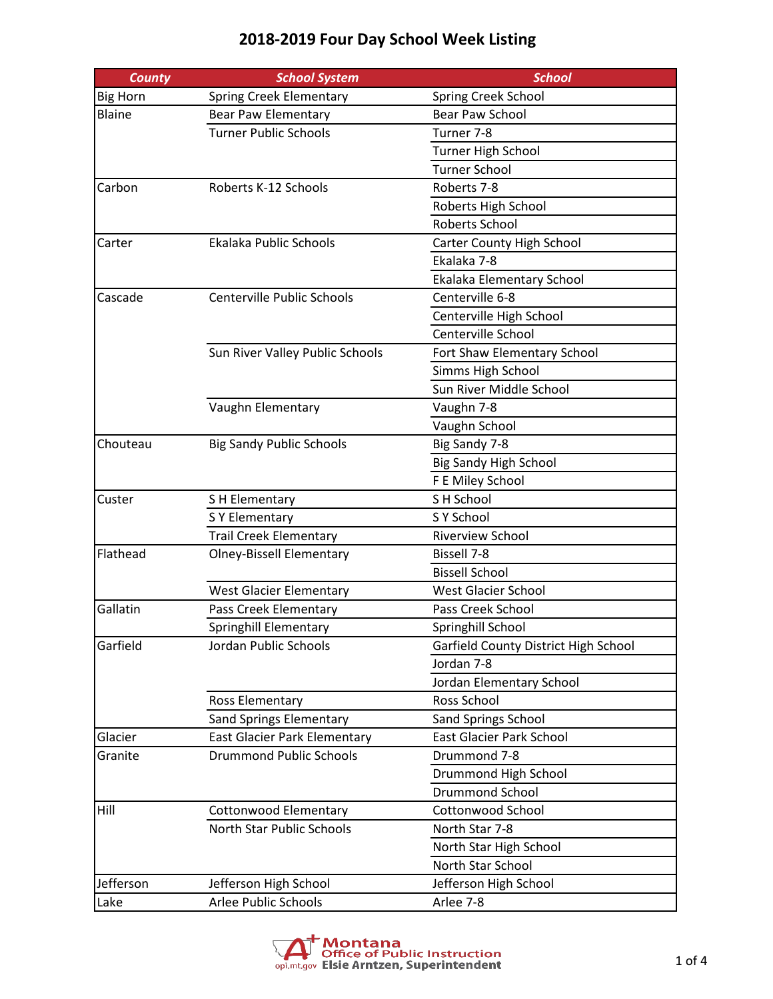| <b>County</b>   | <b>School System</b>              | <b>School</b>                        |
|-----------------|-----------------------------------|--------------------------------------|
| <b>Big Horn</b> | <b>Spring Creek Elementary</b>    | Spring Creek School                  |
| Blaine          | <b>Bear Paw Elementary</b>        | <b>Bear Paw School</b>               |
|                 | <b>Turner Public Schools</b>      | Turner 7-8                           |
|                 |                                   | <b>Turner High School</b>            |
|                 |                                   | <b>Turner School</b>                 |
| Carbon          | Roberts K-12 Schools              | Roberts 7-8                          |
|                 |                                   | Roberts High School                  |
|                 |                                   | <b>Roberts School</b>                |
| Carter          | Ekalaka Public Schools            | Carter County High School            |
|                 |                                   | Ekalaka 7-8                          |
|                 |                                   | Ekalaka Elementary School            |
| Cascade         | <b>Centerville Public Schools</b> | Centerville 6-8                      |
|                 |                                   | Centerville High School              |
|                 |                                   | Centerville School                   |
|                 | Sun River Valley Public Schools   | Fort Shaw Elementary School          |
|                 |                                   | Simms High School                    |
|                 |                                   | Sun River Middle School              |
|                 | Vaughn Elementary                 | Vaughn 7-8                           |
|                 |                                   | Vaughn School                        |
| Chouteau        | <b>Big Sandy Public Schools</b>   | Big Sandy 7-8                        |
|                 |                                   | <b>Big Sandy High School</b>         |
|                 |                                   | F E Miley School                     |
| Custer          | S H Elementary                    | S H School                           |
|                 | S Y Elementary                    | S Y School                           |
|                 | <b>Trail Creek Elementary</b>     | Riverview School                     |
| Flathead        | <b>Olney-Bissell Elementary</b>   | <b>Bissell 7-8</b>                   |
|                 |                                   | <b>Bissell School</b>                |
|                 | <b>West Glacier Elementary</b>    | West Glacier School                  |
| Gallatin        | Pass Creek Elementary             | Pass Creek School                    |
|                 | Springhill Elementary             | Springhill School                    |
| Garfield        | Jordan Public Schools             | Garfield County District High School |
|                 |                                   | Jordan 7-8                           |
|                 |                                   | Jordan Elementary School             |
|                 | Ross Elementary                   | Ross School                          |
|                 | <b>Sand Springs Elementary</b>    | <b>Sand Springs School</b>           |
| Glacier         | East Glacier Park Elementary      | <b>East Glacier Park School</b>      |
| Granite         | <b>Drummond Public Schools</b>    | Drummond 7-8                         |
|                 |                                   | Drummond High School                 |
|                 |                                   | <b>Drummond School</b>               |
| Hill            | <b>Cottonwood Elementary</b>      | <b>Cottonwood School</b>             |
|                 | North Star Public Schools         | North Star 7-8                       |
|                 |                                   | North Star High School               |
|                 |                                   | North Star School                    |
| Jefferson       |                                   |                                      |
|                 | Jefferson High School             | Jefferson High School                |
| Lake            | Arlee Public Schools              | Arlee 7-8                            |

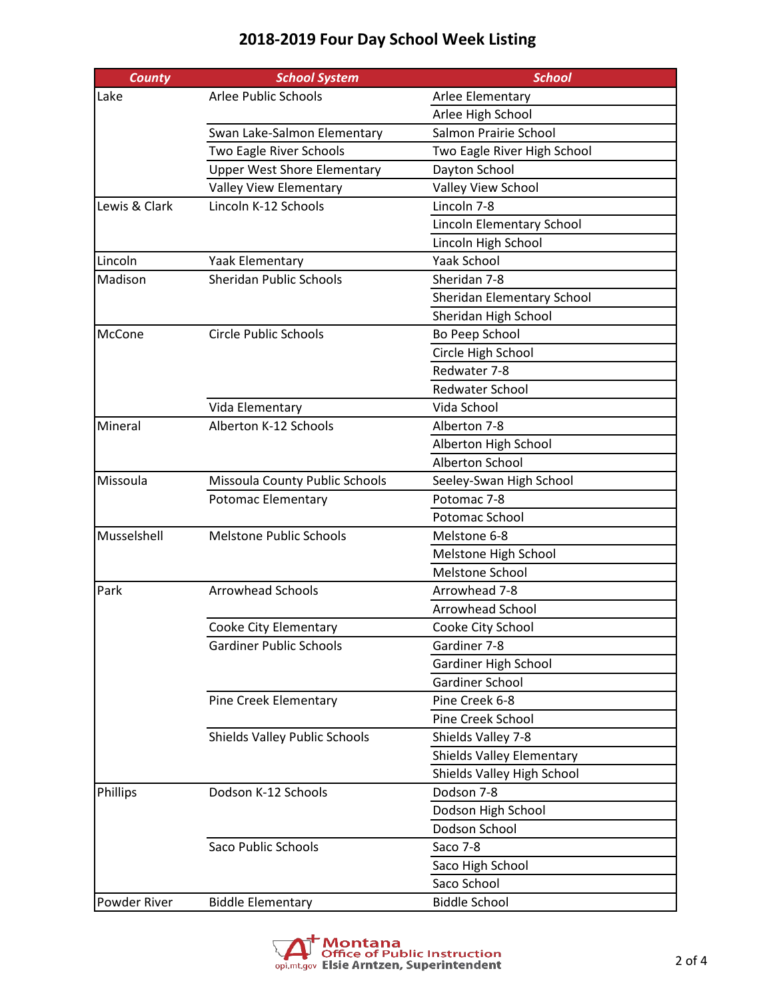| <b>County</b> | <b>School System</b>               | <b>School</b>                    |
|---------------|------------------------------------|----------------------------------|
| Lake          | Arlee Public Schools               | Arlee Elementary                 |
|               |                                    | Arlee High School                |
|               | Swan Lake-Salmon Elementary        | Salmon Prairie School            |
|               | Two Eagle River Schools            | Two Eagle River High School      |
|               | <b>Upper West Shore Elementary</b> | Dayton School                    |
|               | Valley View Elementary             | Valley View School               |
| Lewis & Clark | Lincoln K-12 Schools               | Lincoln 7-8                      |
|               |                                    | Lincoln Elementary School        |
|               |                                    | Lincoln High School              |
| Lincoln       | <b>Yaak Elementary</b>             | <b>Yaak School</b>               |
| Madison       | <b>Sheridan Public Schools</b>     | Sheridan 7-8                     |
|               |                                    | Sheridan Elementary School       |
|               |                                    | Sheridan High School             |
| McCone        | <b>Circle Public Schools</b>       | Bo Peep School                   |
|               |                                    | Circle High School               |
|               |                                    | Redwater 7-8                     |
|               |                                    | <b>Redwater School</b>           |
|               | Vida Elementary                    | Vida School                      |
| Mineral       | Alberton K-12 Schools              | Alberton 7-8                     |
|               |                                    | Alberton High School             |
|               |                                    | Alberton School                  |
| Missoula      | Missoula County Public Schools     | Seeley-Swan High School          |
|               | Potomac Elementary                 | Potomac 7-8                      |
|               |                                    | Potomac School                   |
| Musselshell   | <b>Melstone Public Schools</b>     | Melstone 6-8                     |
|               |                                    | Melstone High School             |
|               |                                    | Melstone School                  |
| Park          | <b>Arrowhead Schools</b>           | Arrowhead 7-8                    |
|               |                                    | <b>Arrowhead School</b>          |
|               | Cooke City Elementary              | Cooke City School                |
|               | <b>Gardiner Public Schools</b>     | Gardiner 7-8                     |
|               |                                    | Gardiner High School             |
|               |                                    | Gardiner School                  |
|               | Pine Creek Elementary              | Pine Creek 6-8                   |
|               |                                    | Pine Creek School                |
|               | Shields Valley Public Schools      | Shields Valley 7-8               |
|               |                                    | <b>Shields Valley Elementary</b> |
|               |                                    | Shields Valley High School       |
| Phillips      | Dodson K-12 Schools                | Dodson 7-8                       |
|               |                                    | Dodson High School               |
|               |                                    | Dodson School                    |
|               | <b>Saco Public Schools</b>         | Saco 7-8                         |
|               |                                    | Saco High School                 |
|               |                                    | Saco School                      |
| Powder River  | <b>Biddle Elementary</b>           | <b>Biddle School</b>             |

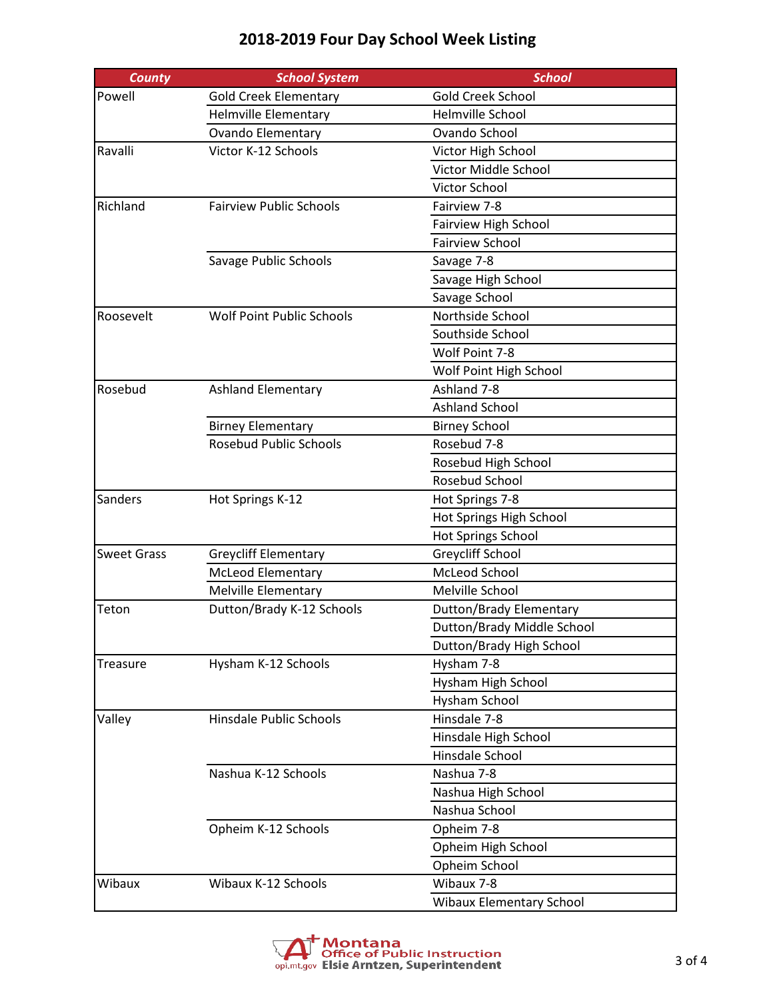| <b>County</b>      | <b>School System</b>             | <b>School</b>                   |
|--------------------|----------------------------------|---------------------------------|
| Powell             | <b>Gold Creek Elementary</b>     | Gold Creek School               |
|                    | Helmville Elementary             | Helmville School                |
|                    | <b>Ovando Elementary</b>         | Ovando School                   |
| Ravalli            | Victor K-12 Schools              | Victor High School              |
|                    |                                  | Victor Middle School            |
|                    |                                  | Victor School                   |
| Richland           | <b>Fairview Public Schools</b>   | Fairview 7-8                    |
|                    |                                  | Fairview High School            |
|                    |                                  | <b>Fairview School</b>          |
|                    | Savage Public Schools            | Savage 7-8                      |
|                    |                                  | Savage High School              |
|                    |                                  | Savage School                   |
| Roosevelt          | <b>Wolf Point Public Schools</b> | Northside School                |
|                    |                                  | Southside School                |
|                    |                                  | Wolf Point 7-8                  |
|                    |                                  | Wolf Point High School          |
| Rosebud            | <b>Ashland Elementary</b>        | Ashland 7-8                     |
|                    |                                  | <b>Ashland School</b>           |
|                    | <b>Birney Elementary</b>         | <b>Birney School</b>            |
|                    | <b>Rosebud Public Schools</b>    | Rosebud 7-8                     |
|                    |                                  | Rosebud High School             |
|                    |                                  | Rosebud School                  |
| Sanders            | Hot Springs K-12                 | Hot Springs 7-8                 |
|                    |                                  | Hot Springs High School         |
|                    |                                  | Hot Springs School              |
| <b>Sweet Grass</b> | <b>Greycliff Elementary</b>      | Greycliff School                |
|                    | <b>McLeod Elementary</b>         | McLeod School                   |
|                    | <b>Melville Elementary</b>       | Melville School                 |
| Teton              | Dutton/Brady K-12 Schools        | Dutton/Brady Elementary         |
|                    |                                  | Dutton/Brady Middle School      |
|                    |                                  | Dutton/Brady High School        |
| Treasure           | Hysham K-12 Schools              | Hysham 7-8                      |
|                    |                                  | Hysham High School              |
|                    |                                  | Hysham School                   |
| Valley             | Hinsdale Public Schools          | Hinsdale 7-8                    |
|                    |                                  | Hinsdale High School            |
|                    |                                  | Hinsdale School                 |
|                    | Nashua K-12 Schools              | Nashua 7-8                      |
|                    |                                  | Nashua High School              |
|                    |                                  | Nashua School                   |
|                    | Opheim K-12 Schools              | Opheim 7-8                      |
|                    |                                  | Opheim High School              |
|                    |                                  | Opheim School                   |
| Wibaux             | Wibaux K-12 Schools              | Wibaux 7-8                      |
|                    |                                  | <b>Wibaux Elementary School</b> |